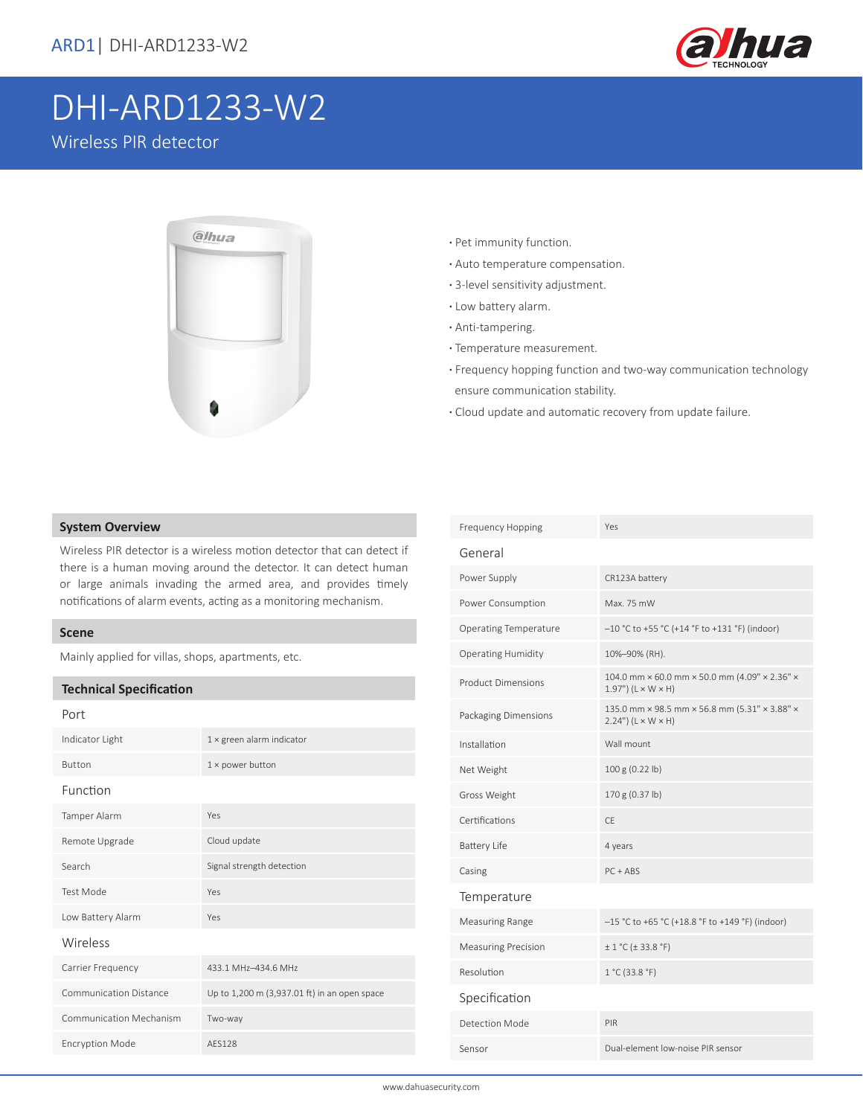

# DHI-ARD1233-W2

Wireless PIR detector



- **·** Pet immunity function.
- **·** Auto temperature compensation.
- **·** 3-level sensitivity adjustment.
- **·** Low battery alarm.
- **·** Anti-tampering.
- **·** Temperature measurement.
- **·** Frequency hopping function and two-way communication technology ensure communication stability.
- **·** Cloud update and automatic recovery from update failure.

### **System Overview**

Wireless PIR detector is a wireless motion detector that can detect if there is a human moving around the detector. It can detect human or large animals invading the armed area, and provides timely notifications of alarm events, acting as a monitoring mechanism.

#### **Scene**

Mainly applied for villas, shops, apartments, etc.

### **Technical Specification**

| Port                           |                                              |  |  |  |
|--------------------------------|----------------------------------------------|--|--|--|
| Indicator Light                | $1 \times$ green alarm indicator             |  |  |  |
| <b>Button</b>                  | $1 \times$ power button                      |  |  |  |
| Function                       |                                              |  |  |  |
| Tamper Alarm                   | Yes                                          |  |  |  |
| Remote Upgrade                 | Cloud update                                 |  |  |  |
| Search                         | Signal strength detection                    |  |  |  |
| <b>Test Mode</b>               | Yes                                          |  |  |  |
| Low Battery Alarm              | Yes                                          |  |  |  |
| Wireless                       |                                              |  |  |  |
| Carrier Frequency              | 433.1 MHz-434.6 MHz                          |  |  |  |
| Communication Distance         | Up to 1,200 m (3,937.01 ft) in an open space |  |  |  |
| <b>Communication Mechanism</b> | Two-way                                      |  |  |  |
| <b>Encryption Mode</b>         | AFS128                                       |  |  |  |
|                                |                                              |  |  |  |

| <b>Frequency Hopping</b>     | Yes                                                                                  |
|------------------------------|--------------------------------------------------------------------------------------|
| General                      |                                                                                      |
| Power Supply                 | CR123A battery                                                                       |
| Power Consumption            | Max. 75 mW                                                                           |
| <b>Operating Temperature</b> | -10 °C to +55 °C (+14 °F to +131 °F) (indoor)                                        |
| <b>Operating Humidity</b>    | 10%-90% (RH).                                                                        |
| <b>Product Dimensions</b>    | 104.0 mm × 60.0 mm × 50.0 mm (4.09" × 2.36" ×<br>$1.97"$ (L $\times$ W $\times$ H)   |
| Packaging Dimensions         | 135.0 mm × 98.5 mm × 56.8 mm (5.31" × 3.88" ×<br>$2.24$ ") (L $\times$ W $\times$ H) |
| Installation                 | Wall mount                                                                           |
| Net Weight                   | 100 g (0.22 lb)                                                                      |
| Gross Weight                 | 170 g (0.37 lb)                                                                      |
| Certifications               | CF.                                                                                  |
| <b>Battery Life</b>          | 4 years                                                                              |
| Casing                       | $PC + ABS$                                                                           |
| Temperature                  |                                                                                      |
| Measuring Range              | -15 °C to +65 °C (+18.8 °F to +149 °F) (indoor)                                      |
| <b>Measuring Precision</b>   | ± 1 °C (± 33.8 °F)                                                                   |
| Resolution                   | 1 °C (33.8 °F)                                                                       |
| Specification                |                                                                                      |
| Detection Mode               | PIR                                                                                  |
| Sensor                       | Dual-element low-noise PIR sensor                                                    |